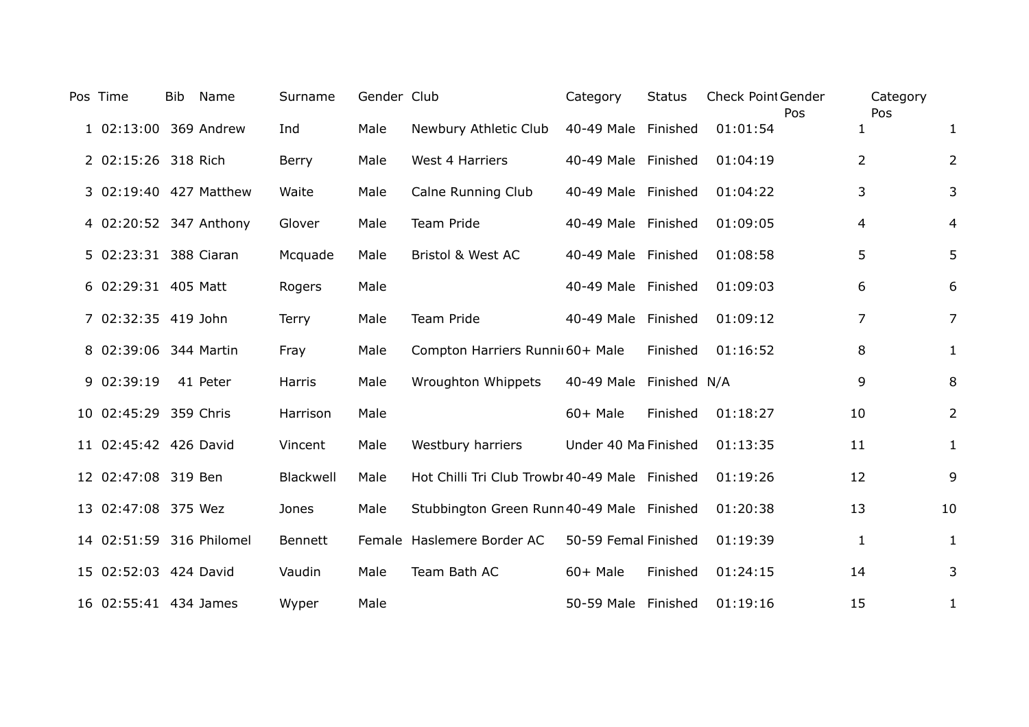| Pos Time                 | <b>Bib</b> | Name     | Surname        | Gender Club |                                                | Category                | <b>Status</b> | <b>Check Point Gender</b><br>Pos |                | Category<br>Pos |                |
|--------------------------|------------|----------|----------------|-------------|------------------------------------------------|-------------------------|---------------|----------------------------------|----------------|-----------------|----------------|
| 1 02:13:00 369 Andrew    |            |          | Ind            | Male        | Newbury Athletic Club                          | 40-49 Male Finished     |               | 01:01:54                         | 1              |                 | 1              |
| 2 02:15:26 318 Rich      |            |          | Berry          | Male        | West 4 Harriers                                | 40-49 Male Finished     |               | 01:04:19                         | $\overline{2}$ |                 | $\overline{2}$ |
| 3 02:19:40 427 Matthew   |            |          | Waite          | Male        | Calne Running Club                             | 40-49 Male Finished     |               | 01:04:22                         | 3              |                 | 3              |
| 4 02:20:52 347 Anthony   |            |          | Glover         | Male        | Team Pride                                     | 40-49 Male Finished     |               | 01:09:05                         | 4              |                 | 4              |
| 5 02:23:31 388 Ciaran    |            |          | Mcquade        | Male        | Bristol & West AC                              | 40-49 Male Finished     |               | 01:08:58                         | 5              |                 | 5              |
| 6 02:29:31 405 Matt      |            |          | Rogers         | Male        |                                                | 40-49 Male Finished     |               | 01:09:03                         | 6              |                 | 6              |
| 7 02:32:35 419 John      |            |          | <b>Terry</b>   | Male        | <b>Team Pride</b>                              | 40-49 Male Finished     |               | 01:09:12                         | $\overline{7}$ |                 | $\overline{7}$ |
| 8 02:39:06 344 Martin    |            |          | Fray           | Male        | Compton Harriers Runnii 60+ Male               |                         | Finished      | 01:16:52                         | 8              |                 | $\mathbf{1}$   |
| 9 02:39:19               |            | 41 Peter | Harris         | Male        | Wroughton Whippets                             | 40-49 Male Finished N/A |               |                                  | 9              |                 | 8              |
| 10 02:45:29 359 Chris    |            |          | Harrison       | Male        |                                                | $60+$ Male              | Finished      | 01:18:27                         | 10             |                 | $\overline{2}$ |
| 11 02:45:42 426 David    |            |          | Vincent        | Male        | Westbury harriers                              | Under 40 Ma Finished    |               | 01:13:35                         | 11             |                 | $\mathbf{1}$   |
| 12 02:47:08 319 Ben      |            |          | Blackwell      | Male        | Hot Chilli Tri Club Trowbi 40-49 Male Finished |                         |               | 01:19:26                         | 12             |                 | 9              |
| 13 02:47:08 375 Wez      |            |          | Jones          | Male        | Stubbington Green Runn 40-49 Male Finished     |                         |               | 01:20:38                         | 13             |                 | 10             |
| 14 02:51:59 316 Philomel |            |          | <b>Bennett</b> |             | Female Haslemere Border AC                     | 50-59 Femal Finished    |               | 01:19:39                         | 1              |                 | $\mathbf{1}$   |
| 15 02:52:03 424 David    |            |          | Vaudin         | Male        | Team Bath AC                                   | $60+$ Male              | Finished      | 01:24:15                         | 14             |                 | 3              |
| 16 02:55:41 434 James    |            |          | Wyper          | Male        |                                                | 50-59 Male Finished     |               | 01:19:16                         | 15             |                 | 1              |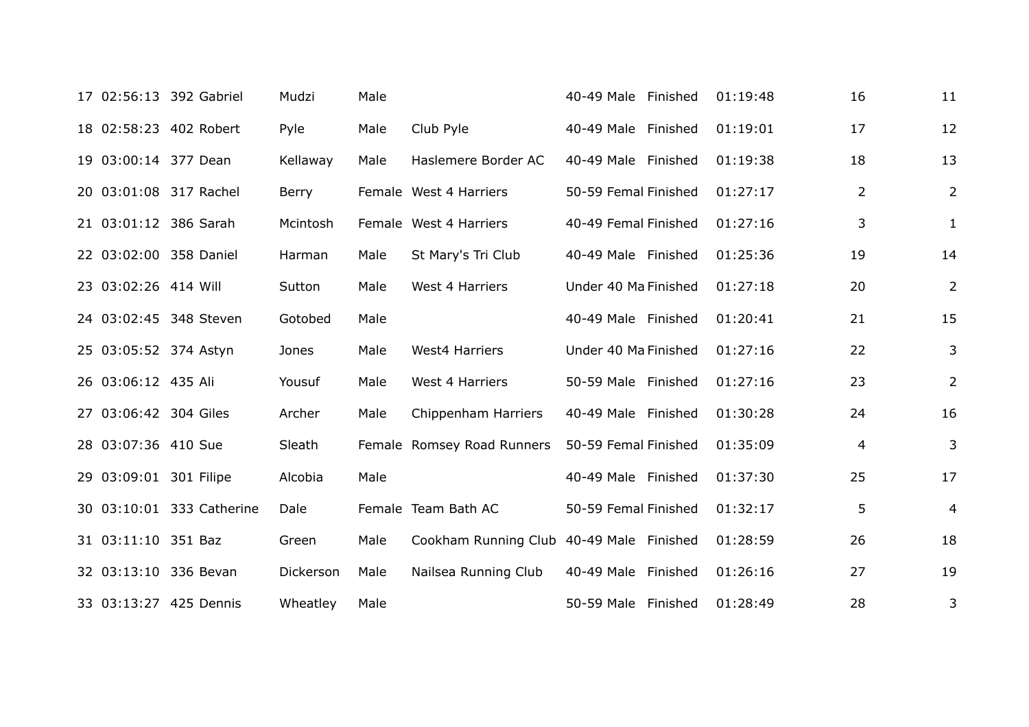|                        | 17 02:56:13 392 Gabriel   | Mudzi     | Male |                                          | 40-49 Male Finished  | 01:19:48 | 16 | 11             |
|------------------------|---------------------------|-----------|------|------------------------------------------|----------------------|----------|----|----------------|
|                        | 18 02:58:23 402 Robert    | Pyle      | Male | Club Pyle                                | 40-49 Male Finished  | 01:19:01 | 17 | 12             |
| 19 03:00:14 377 Dean   |                           | Kellaway  | Male | Haslemere Border AC                      | 40-49 Male Finished  | 01:19:38 | 18 | 13             |
|                        | 20 03:01:08 317 Rachel    | Berry     |      | Female West 4 Harriers                   | 50-59 Femal Finished | 01:27:17 | 2  | $\overline{2}$ |
|                        | 21 03:01:12 386 Sarah     | Mcintosh  |      | Female West 4 Harriers                   | 40-49 Femal Finished | 01:27:16 | 3  | $\mathbf{1}$   |
|                        | 22 03:02:00 358 Daniel    | Harman    | Male | St Mary's Tri Club                       | 40-49 Male Finished  | 01:25:36 | 19 | 14             |
| 23 03:02:26 414 Will   |                           | Sutton    | Male | West 4 Harriers                          | Under 40 Ma Finished | 01:27:18 | 20 | $\overline{2}$ |
|                        | 24 03:02:45 348 Steven    | Gotobed   | Male |                                          | 40-49 Male Finished  | 01:20:41 | 21 | 15             |
|                        | 25 03:05:52 374 Astyn     | Jones     | Male | <b>West4 Harriers</b>                    | Under 40 Ma Finished | 01:27:16 | 22 | 3              |
| 26 03:06:12 435 Ali    |                           | Yousuf    | Male | West 4 Harriers                          | 50-59 Male Finished  | 01:27:16 | 23 | $\overline{2}$ |
| 27 03:06:42 304 Giles  |                           | Archer    | Male | Chippenham Harriers                      | 40-49 Male Finished  | 01:30:28 | 24 | 16             |
| 28 03:07:36 410 Sue    |                           | Sleath    |      | Female Romsey Road Runners               | 50-59 Femal Finished | 01:35:09 | 4  | 3              |
| 29 03:09:01 301 Filipe |                           | Alcobia   | Male |                                          | 40-49 Male Finished  | 01:37:30 | 25 | 17             |
|                        | 30 03:10:01 333 Catherine | Dale      |      | Female Team Bath AC                      | 50-59 Femal Finished | 01:32:17 | 5  | $\overline{4}$ |
| 31 03:11:10 351 Baz    |                           | Green     | Male | Cookham Running Club 40-49 Male Finished |                      | 01:28:59 | 26 | 18             |
|                        | 32 03:13:10 336 Bevan     | Dickerson | Male | Nailsea Running Club                     | 40-49 Male Finished  | 01:26:16 | 27 | 19             |
|                        | 33 03:13:27 425 Dennis    | Wheatley  | Male |                                          | 50-59 Male Finished  | 01:28:49 | 28 | 3              |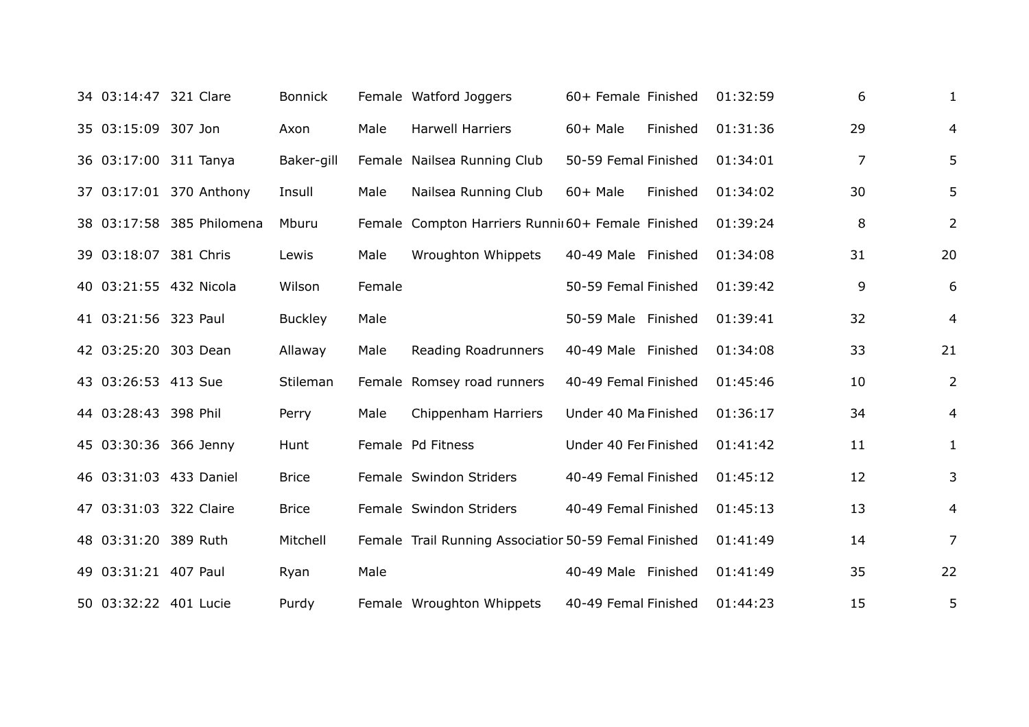| 34 03:14:47 321 Clare  |                           | <b>Bonnick</b> |        | Female Watford Joggers                                | 60+ Female Finished   |          | 01:32:59 | 6  | 1              |
|------------------------|---------------------------|----------------|--------|-------------------------------------------------------|-----------------------|----------|----------|----|----------------|
| 35 03:15:09 307 Jon    |                           | Axon           | Male   | <b>Harwell Harriers</b>                               | 60+ Male              | Finished | 01:31:36 | 29 | 4              |
| 36 03:17:00 311 Tanya  |                           | Baker-gill     |        | Female Nailsea Running Club                           | 50-59 Femal Finished  |          | 01:34:01 | 7  | 5              |
|                        | 37 03:17:01 370 Anthony   | Insull         | Male   | Nailsea Running Club                                  | 60+ Male              | Finished | 01:34:02 | 30 | 5              |
|                        | 38 03:17:58 385 Philomena | Mburu          |        | Female Compton Harriers Runnii 60+ Female Finished    |                       |          | 01:39:24 | 8  | $\overline{2}$ |
| 39 03:18:07 381 Chris  |                           | Lewis          | Male   | Wroughton Whippets                                    | 40-49 Male Finished   |          | 01:34:08 | 31 | 20             |
| 40 03:21:55 432 Nicola |                           | Wilson         | Female |                                                       | 50-59 Femal Finished  |          | 01:39:42 | 9  | 6              |
| 41 03:21:56 323 Paul   |                           | <b>Buckley</b> | Male   |                                                       | 50-59 Male Finished   |          | 01:39:41 | 32 | 4              |
| 42 03:25:20 303 Dean   |                           | Allaway        | Male   | Reading Roadrunners                                   | 40-49 Male Finished   |          | 01:34:08 | 33 | 21             |
| 43 03:26:53 413 Sue    |                           | Stileman       |        | Female Romsey road runners                            | 40-49 Femal Finished  |          | 01:45:46 | 10 | $\overline{2}$ |
| 44 03:28:43 398 Phil   |                           | Perry          | Male   | Chippenham Harriers                                   | Under 40 Ma Finished  |          | 01:36:17 | 34 | $\overline{4}$ |
| 45 03:30:36 366 Jenny  |                           | Hunt           |        | Female Pd Fitness                                     | Under 40 Fer Finished |          | 01:41:42 | 11 | $\mathbf{1}$   |
|                        | 46 03:31:03 433 Daniel    | <b>Brice</b>   |        | Female Swindon Striders                               | 40-49 Femal Finished  |          | 01:45:12 | 12 | 3              |
| 47 03:31:03 322 Claire |                           | <b>Brice</b>   |        | Female Swindon Striders                               | 40-49 Femal Finished  |          | 01:45:13 | 13 | $\overline{4}$ |
| 48 03:31:20 389 Ruth   |                           | Mitchell       |        | Female Trail Running Associatior 50-59 Femal Finished |                       |          | 01:41:49 | 14 | $\overline{7}$ |
| 49 03:31:21 407 Paul   |                           | Ryan           | Male   |                                                       | 40-49 Male Finished   |          | 01:41:49 | 35 | 22             |
| 50 03:32:22 401 Lucie  |                           | Purdy          |        | Female Wroughton Whippets                             | 40-49 Femal Finished  |          | 01:44:23 | 15 | 5              |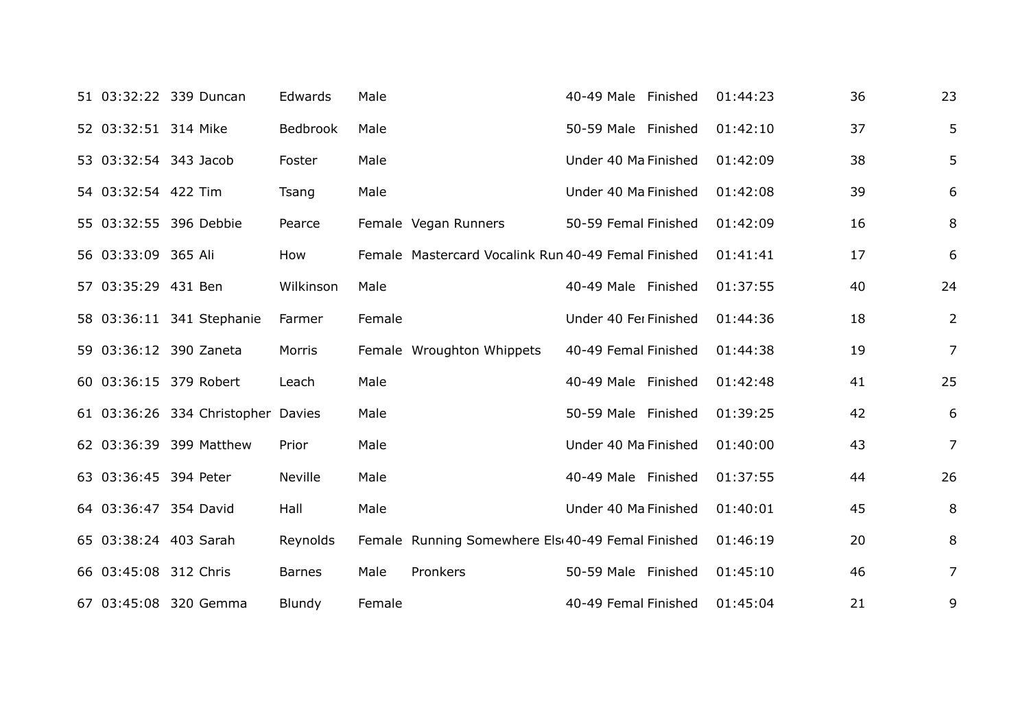|                       | 51 03:32:22 339 Duncan             | Edwards       | Male   |                                                     | 40-49 Male Finished   | 01:44:23 | 36 | 23             |
|-----------------------|------------------------------------|---------------|--------|-----------------------------------------------------|-----------------------|----------|----|----------------|
| 52 03:32:51 314 Mike  |                                    | Bedbrook      | Male   |                                                     | 50-59 Male Finished   | 01:42:10 | 37 | 5              |
| 53 03:32:54 343 Jacob |                                    | Foster        | Male   |                                                     | Under 40 Ma Finished  | 01:42:09 | 38 | 5              |
| 54 03:32:54 422 Tim   |                                    | Tsang         | Male   |                                                     | Under 40 Ma Finished  | 01:42:08 | 39 | 6              |
|                       | 55 03:32:55 396 Debbie             | Pearce        |        | Female Vegan Runners                                | 50-59 Femal Finished  | 01:42:09 | 16 | 8              |
| 56 03:33:09 365 Ali   |                                    | How           |        | Female Mastercard Vocalink Run 40-49 Femal Finished |                       | 01:41:41 | 17 | 6              |
| 57 03:35:29 431 Ben   |                                    | Wilkinson     | Male   |                                                     | 40-49 Male Finished   | 01:37:55 | 40 | 24             |
|                       | 58 03:36:11 341 Stephanie          | Farmer        | Female |                                                     | Under 40 Fer Finished | 01:44:36 | 18 | $\overline{2}$ |
|                       | 59 03:36:12 390 Zaneta             | Morris        |        | Female Wroughton Whippets                           | 40-49 Femal Finished  | 01:44:38 | 19 | $\overline{7}$ |
|                       | 60 03:36:15 379 Robert             | Leach         | Male   |                                                     | 40-49 Male Finished   | 01:42:48 | 41 | 25             |
|                       | 61 03:36:26 334 Christopher Davies |               | Male   |                                                     | 50-59 Male Finished   | 01:39:25 | 42 | 6              |
|                       | 62 03:36:39 399 Matthew            | Prior         | Male   |                                                     | Under 40 Ma Finished  | 01:40:00 | 43 | $\overline{7}$ |
| 63 03:36:45 394 Peter |                                    | Neville       | Male   |                                                     | 40-49 Male Finished   | 01:37:55 | 44 | 26             |
| 64 03:36:47 354 David |                                    | Hall          | Male   |                                                     | Under 40 Ma Finished  | 01:40:01 | 45 | 8              |
|                       | 65 03:38:24 403 Sarah              | Reynolds      |        | Female Running Somewhere Els 40-49 Femal Finished   |                       | 01:46:19 | 20 | 8              |
| 66 03:45:08 312 Chris |                                    | <b>Barnes</b> | Male   | Pronkers                                            | 50-59 Male Finished   | 01:45:10 | 46 | $\overline{7}$ |
|                       | 67 03:45:08 320 Gemma              | Blundy        | Female |                                                     | 40-49 Femal Finished  | 01:45:04 | 21 | 9              |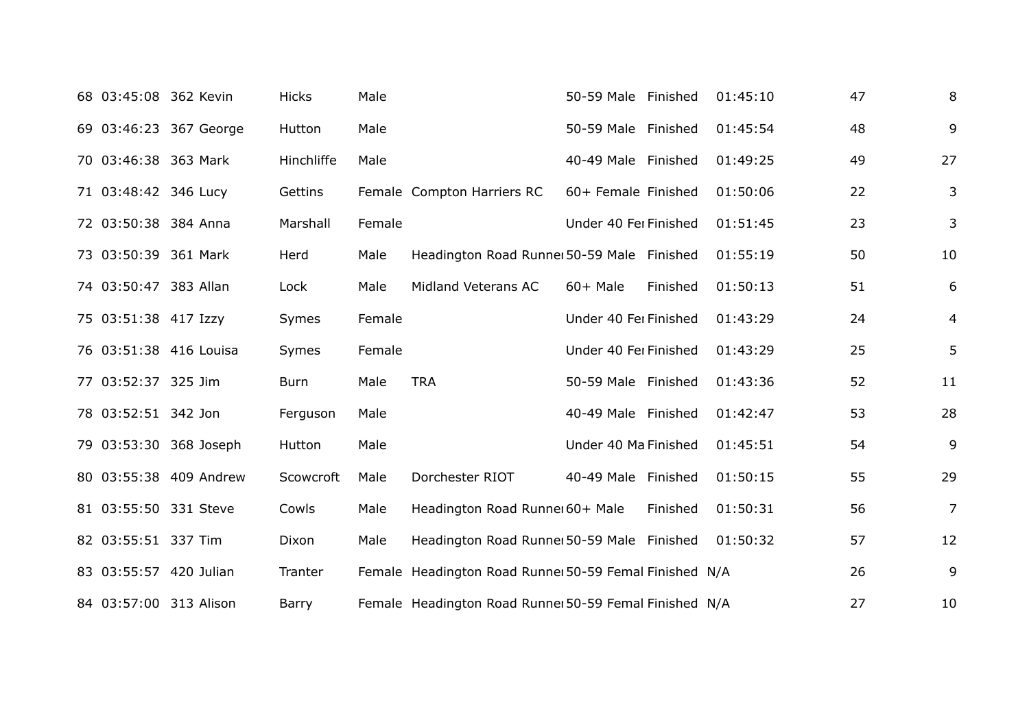| 68 03:45:08 362 Kevin |                        | <b>Hicks</b> | Male   |                                                        | 50-59 Male Finished   |          | 01:45:10 | 47 | 8              |
|-----------------------|------------------------|--------------|--------|--------------------------------------------------------|-----------------------|----------|----------|----|----------------|
|                       | 69 03:46:23 367 George | Hutton       | Male   |                                                        | 50-59 Male Finished   |          | 01:45:54 | 48 | 9              |
| 70 03:46:38 363 Mark  |                        | Hinchliffe   | Male   |                                                        | 40-49 Male Finished   |          | 01:49:25 | 49 | 27             |
| 71 03:48:42 346 Lucy  |                        | Gettins      |        | Female Compton Harriers RC                             | 60+ Female Finished   |          | 01:50:06 | 22 | $\mathbf{3}$   |
| 72 03:50:38 384 Anna  |                        | Marshall     | Female |                                                        | Under 40 Fer Finished |          | 01:51:45 | 23 | 3              |
| 73 03:50:39 361 Mark  |                        | Herd         | Male   | Headington Road Runner 50-59 Male Finished             |                       |          | 01:55:19 | 50 | 10             |
| 74 03:50:47 383 Allan |                        | Lock         | Male   | Midland Veterans AC                                    | 60+ Male              | Finished | 01:50:13 | 51 | 6              |
| 75 03:51:38 417 Izzy  |                        | Symes        | Female |                                                        | Under 40 Fer Finished |          | 01:43:29 | 24 | $\overline{4}$ |
|                       | 76 03:51:38 416 Louisa | Symes        | Female |                                                        | Under 40 Fer Finished |          | 01:43:29 | 25 | 5              |
| 77 03:52:37 325 Jim   |                        | Burn         | Male   | <b>TRA</b>                                             | 50-59 Male Finished   |          | 01:43:36 | 52 | 11             |
| 78 03:52:51 342 Jon   |                        | Ferguson     | Male   |                                                        | 40-49 Male Finished   |          | 01:42:47 | 53 | 28             |
|                       | 79 03:53:30 368 Joseph | Hutton       | Male   |                                                        | Under 40 Ma Finished  |          | 01:45:51 | 54 | 9              |
|                       | 80 03:55:38 409 Andrew | Scowcroft    | Male   | Dorchester RIOT                                        | 40-49 Male Finished   |          | 01:50:15 | 55 | 29             |
|                       | 81 03:55:50 331 Steve  | Cowls        | Male   | Headington Road Runner 60+ Male                        |                       | Finished | 01:50:31 | 56 | $\overline{7}$ |
| 82 03:55:51 337 Tim   |                        | Dixon        | Male   | Headington Road Runnel 50-59 Male Finished             |                       |          | 01:50:32 | 57 | 12             |
|                       | 83 03:55:57 420 Julian | Tranter      |        | Female Headington Road Runnel 50-59 Femal Finished N/A |                       |          |          | 26 | 9              |
|                       | 84 03:57:00 313 Alison | Barry        |        | Female Headington Road Runnel 50-59 Femal Finished N/A |                       |          |          | 27 | 10             |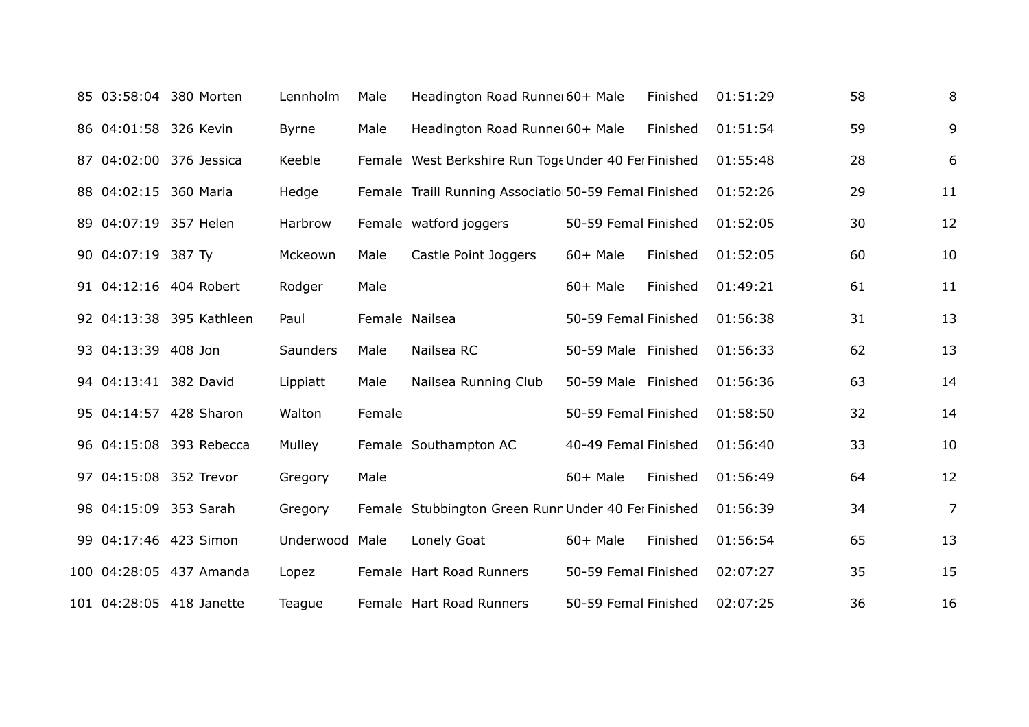|                       | 85 03:58:04 380 Morten   | Lennholm        | Male           | Headington Road Runne 60+ Male                        |                      | Finished | 01:51:29 | 58 | 8              |
|-----------------------|--------------------------|-----------------|----------------|-------------------------------------------------------|----------------------|----------|----------|----|----------------|
| 86 04:01:58 326 Kevin |                          | <b>Byrne</b>    | Male           | Headington Road Runner 60+ Male                       |                      | Finished | 01:51:54 | 59 | 9              |
|                       | 87 04:02:00 376 Jessica  | Keeble          |                | Female West Berkshire Run Toge Under 40 Fer Finished  |                      |          | 01:55:48 | 28 | 6              |
| 88 04:02:15 360 Maria |                          | Hedge           |                | Female Traill Running Associatio 50-59 Femal Finished |                      |          | 01:52:26 | 29 | 11             |
|                       | 89 04:07:19 357 Helen    | Harbrow         |                | Female watford joggers                                | 50-59 Femal Finished |          | 01:52:05 | 30 | 12             |
| 90 04:07:19 387 Ty    |                          | Mckeown         | Male           | Castle Point Joggers                                  | $60+$ Male           | Finished | 01:52:05 | 60 | 10             |
|                       | 91 04:12:16 404 Robert   | Rodger          | Male           |                                                       | 60+ Male             | Finished | 01:49:21 | 61 | 11             |
|                       | 92 04:13:38 395 Kathleen | Paul            | Female Nailsea |                                                       | 50-59 Femal Finished |          | 01:56:38 | 31 | 13             |
| 93 04:13:39 408 Jon   |                          | <b>Saunders</b> | Male           | Nailsea RC                                            | 50-59 Male Finished  |          | 01:56:33 | 62 | 13             |
| 94 04:13:41 382 David |                          | Lippiatt        | Male           | Nailsea Running Club                                  | 50-59 Male Finished  |          | 01:56:36 | 63 | 14             |
|                       | 95 04:14:57 428 Sharon   | Walton          | Female         |                                                       | 50-59 Femal Finished |          | 01:58:50 | 32 | 14             |
|                       | 96 04:15:08 393 Rebecca  | Mulley          |                | Female Southampton AC                                 | 40-49 Femal Finished |          | 01:56:40 | 33 | 10             |
|                       | 97 04:15:08 352 Trevor   | Gregory         | Male           |                                                       | $60+$ Male           | Finished | 01:56:49 | 64 | 12             |
|                       | 98 04:15:09 353 Sarah    | Gregory         |                | Female Stubbington Green Runn Under 40 Fer Finished   |                      |          | 01:56:39 | 34 | $\overline{7}$ |
|                       | 99 04:17:46 423 Simon    | Underwood Male  |                | Lonely Goat                                           | $60+$ Male           | Finished | 01:56:54 | 65 | 13             |
|                       | 100 04:28:05 437 Amanda  | Lopez           |                | Female Hart Road Runners                              | 50-59 Femal Finished |          | 02:07:27 | 35 | 15             |
|                       | 101 04:28:05 418 Janette | Teague          |                | Female Hart Road Runners                              | 50-59 Femal Finished |          | 02:07:25 | 36 | 16             |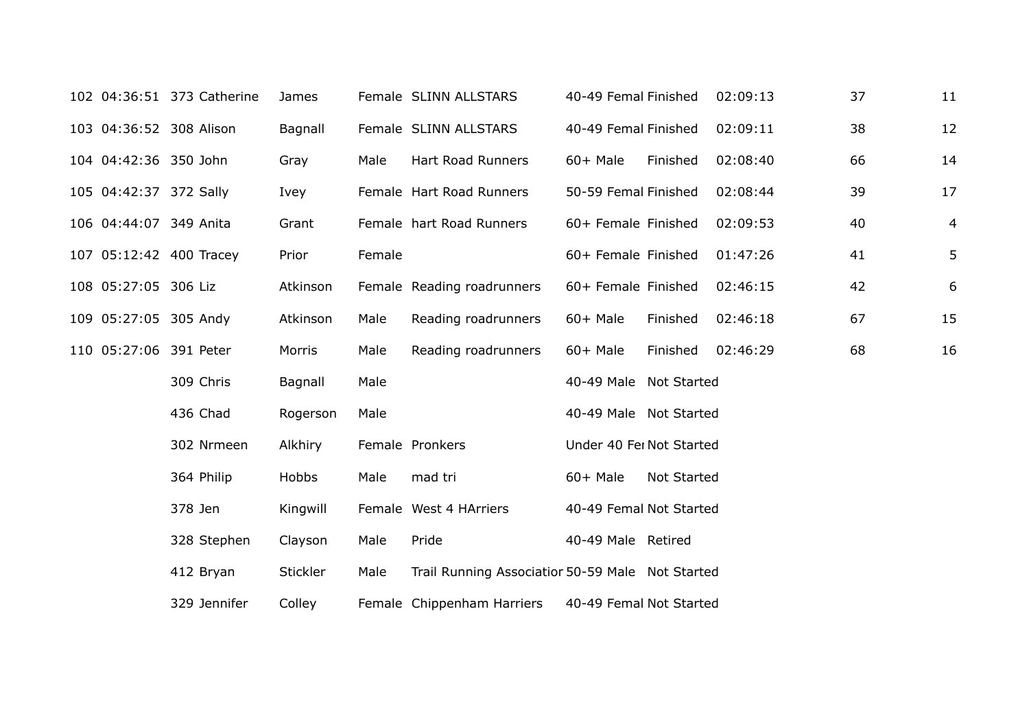|  |                        | 102 04:36:51 373 Catherine | James    |        | Female SLINN ALLSTARS                            | 40-49 Femal Finished     |             | 02:09:13 | 37 | 11 |
|--|------------------------|----------------------------|----------|--------|--------------------------------------------------|--------------------------|-------------|----------|----|----|
|  |                        | 103 04:36:52 308 Alison    | Bagnall  |        | Female SLINN ALLSTARS                            | 40-49 Femal Finished     |             | 02:09:11 | 38 | 12 |
|  | 104 04:42:36 350 John  |                            | Gray     | Male   | <b>Hart Road Runners</b>                         | $60+$ Male               | Finished    | 02:08:40 | 66 | 14 |
|  | 105 04:42:37 372 Sally |                            | Ivey     |        | Female Hart Road Runners                         | 50-59 Femal Finished     |             | 02:08:44 | 39 | 17 |
|  | 106 04:44:07 349 Anita |                            | Grant    |        | Female hart Road Runners                         | 60+ Female Finished      |             | 02:09:53 | 40 | 4  |
|  |                        | 107 05:12:42 400 Tracey    | Prior    | Female |                                                  | 60+ Female Finished      |             | 01:47:26 | 41 | 5  |
|  | 108 05:27:05 306 Liz   |                            | Atkinson |        | Female Reading roadrunners                       | 60+ Female Finished      |             | 02:46:15 | 42 | 6  |
|  | 109 05:27:05 305 Andy  |                            | Atkinson | Male   | Reading roadrunners                              | 60+ Male                 | Finished    | 02:46:18 | 67 | 15 |
|  |                        | 110 05:27:06 391 Peter     | Morris   | Male   | Reading roadrunners                              | 60+ Male                 | Finished    | 02:46:29 | 68 | 16 |
|  |                        | 309 Chris                  | Bagnall  | Male   |                                                  | 40-49 Male Not Started   |             |          |    |    |
|  |                        | 436 Chad                   | Rogerson | Male   |                                                  | 40-49 Male Not Started   |             |          |    |    |
|  |                        | 302 Nrmeen                 | Alkhiry  |        | Female Pronkers                                  | Under 40 Fer Not Started |             |          |    |    |
|  |                        | 364 Philip                 | Hobbs    | Male   | mad tri                                          | $60+$ Male               | Not Started |          |    |    |
|  |                        | 378 Jen                    | Kingwill |        | Female West 4 HArriers                           | 40-49 Femal Not Started  |             |          |    |    |
|  |                        | 328 Stephen                | Clayson  | Male   | Pride                                            | 40-49 Male Retired       |             |          |    |    |
|  |                        | 412 Bryan                  | Stickler | Male   | Trail Running Associatior 50-59 Male Not Started |                          |             |          |    |    |
|  |                        | 329 Jennifer               | Colley   |        | Female Chippenham Harriers                       | 40-49 Femal Not Started  |             |          |    |    |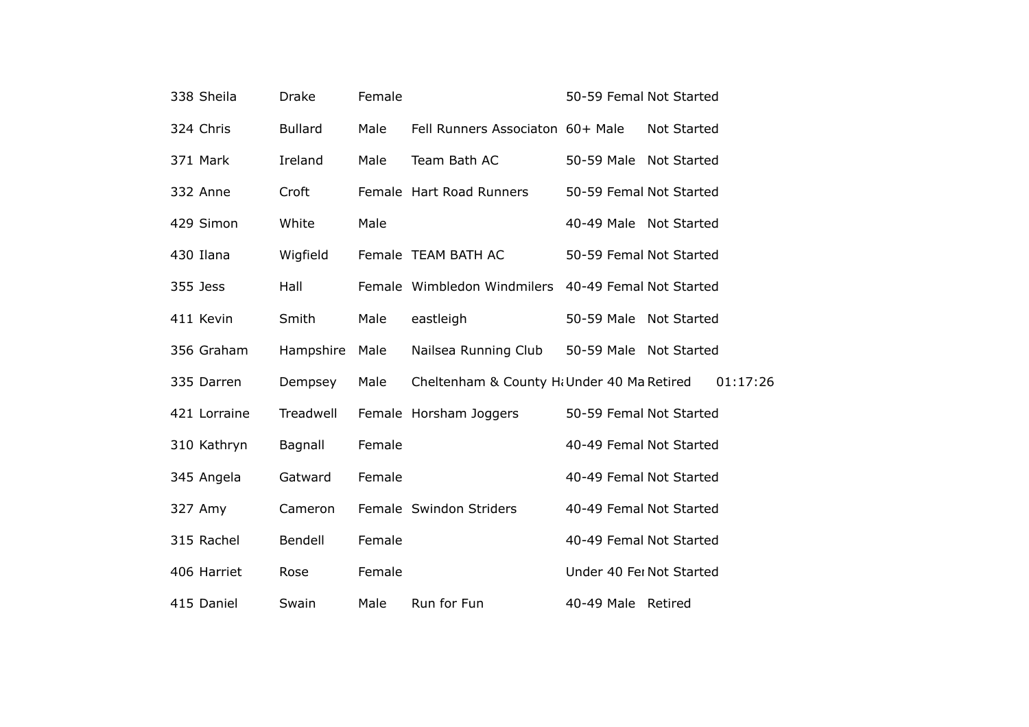| 338 Sheila   | <b>Drake</b>   | Female |                                                     | 50-59 Femal Not Started  |                    |
|--------------|----------------|--------|-----------------------------------------------------|--------------------------|--------------------|
| 324 Chris    | <b>Bullard</b> | Male   | Fell Runners Associaton 60+ Male                    |                          | <b>Not Started</b> |
| 371 Mark     | Ireland        | Male   | Team Bath AC                                        | 50-59 Male Not Started   |                    |
| 332 Anne     | Croft          |        | Female Hart Road Runners                            | 50-59 Femal Not Started  |                    |
| 429 Simon    | White          | Male   |                                                     | 40-49 Male Not Started   |                    |
| 430 Ilana    | Wigfield       |        | Female TEAM BATH AC                                 | 50-59 Femal Not Started  |                    |
| 355 Jess     | Hall           |        | Female Wimbledon Windmilers 40-49 Femal Not Started |                          |                    |
| 411 Kevin    | Smith          | Male   | eastleigh                                           | 50-59 Male Not Started   |                    |
| 356 Graham   | Hampshire      | Male   | Nailsea Running Club                                | 50-59 Male Not Started   |                    |
| 335 Darren   | Dempsey        | Male   | Cheltenham & County Hi Under 40 Ma Retired          |                          | 01:17:26           |
| 421 Lorraine | Treadwell      |        | Female Horsham Joggers                              | 50-59 Femal Not Started  |                    |
| 310 Kathryn  | Bagnall        | Female |                                                     | 40-49 Femal Not Started  |                    |
| 345 Angela   | Gatward        | Female |                                                     | 40-49 Femal Not Started  |                    |
| 327 Amy      | Cameron        |        | Female Swindon Striders                             | 40-49 Femal Not Started  |                    |
| 315 Rachel   | Bendell        | Female |                                                     | 40-49 Femal Not Started  |                    |
| 406 Harriet  | Rose           | Female |                                                     | Under 40 Fei Not Started |                    |
| 415 Daniel   | Swain          | Male   | Run for Fun                                         | 40-49 Male Retired       |                    |